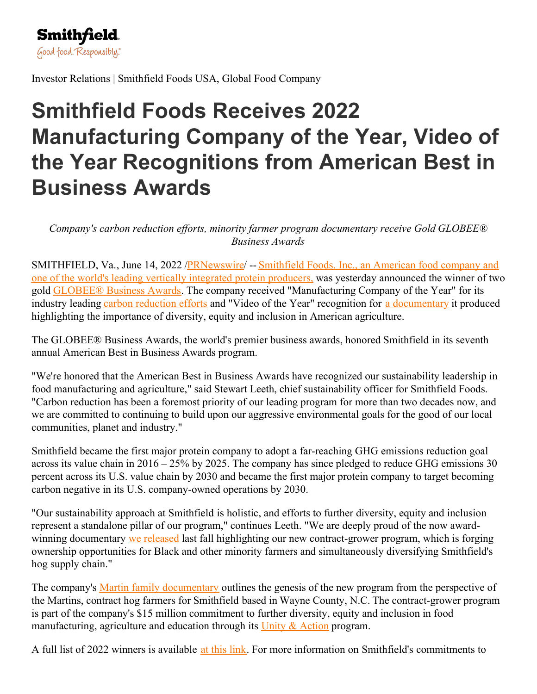

Investor Relations | Smithfield Foods USA, Global Food Company

## **Smithfield Foods Receives 2022 Manufacturing Company of the Year, Video of the Year Recognitions from American Best in Business Awards**

*Company's carbon reduction ef orts, minority farmer program documentary receive Gold GLOBEE® Business Awards*

[SMITHFIELD,](https://c212.net/c/link/?t=0&l=en&o=3566082-1&h=2100027044&u=https%3A%2F%2Fwww.smithfieldfoods.com%2F&a=Smithfield+Foods%2C+Inc.%2C+an+American+food+company+and+one+of+the+world%27s+leading+vertically+integrated+protein+producers%2C) Va., June 14, 2022 [/PRNewswire](http://www.prnewswire.com/)/ -- Smithfield Foods, Inc., an American food company and one of the world's leading vertically integrated protein producers, was yesterday announced the winner of two gold [GLOBEE®](https://c212.net/c/link/?t=0&l=en&o=3566082-1&h=817061208&u=https%3A%2F%2Fglobeeawards.com%2Fabout%2F&a=GLOBEE%C2%AE+Business+Awards) Business Awards. The company received "Manufacturing Company of the Year" for its industry leading carbon [reduction](https://c212.net/c/link/?t=0&l=en&o=3566082-1&h=2099255939&u=https%3A%2F%2Fwww.smithfieldfoods.com%2FSustainability&a=carbon+reduction+efforts) efforts and "Video of the Year" recognition for a [documentary](https://c212.net/c/link/?t=0&l=en&o=3566082-1&h=1919827749&u=https%3A%2F%2Fwww.youtube.com%2Fwatch%3Fv%3DWeS6sx2UPqw&a=a+documentary) it produced highlighting the importance of diversity, equity and inclusion in American agriculture.

The GLOBEE® Business Awards, the world's premier business awards, honored Smithfield in its seventh annual American Best in Business Awards program.

"We're honored that the American Best in Business Awards have recognized our sustainability leadership in food manufacturing and agriculture," said Stewart Leeth, chief sustainability officer for Smithfield Foods. "Carbon reduction has been a foremost priority of our leading program for more than two decades now, and we are committed to continuing to build upon our aggressive environmental goals for the good of our local communities, planet and industry."

Smithfield became the first major protein company to adopt a far-reaching GHG emissions reduction goal across its value chain in 2016 – 25% by 2025. The company has since pledged to reduce GHG emissions 30 percent across its U.S. value chain by 2030 and became the first major protein company to target becoming carbon negative in its U.S. company-owned operations by 2030.

"Our sustainability approach at Smithfield is holistic, and efforts to further diversity, equity and inclusion represent a standalone pillar of our program," continues Leeth. "We are deeply proud of the now awardwinning documentary we [released](https://c212.net/c/link/?t=0&l=en&o=3566082-1&h=64039868&u=https%3A%2F%2Fwww.smithfieldfoods.com%2Fpress-room%2F2021-11-18-Smithfield-Foods-Announces-First-Participants-in-New-Unity-Action-Program-to-Support-Black-and-Other-Minority-Farmers&a=we+released) last fall highlighting our new contract-grower program, which is forging ownership opportunities for Black and other minority farmers and simultaneously diversifying Smithfield's hog supply chain."

The company's Martin family [documentary](https://c212.net/c/link/?t=0&l=en&o=3566082-1&h=3489687600&u=https%3A%2F%2Fwww.youtube.com%2Fwatch%3Fv%3DWeS6sx2UPqw&a=Martin+family+documentary) outlines the genesis of the new program from the perspective of the Martins, contract hog farmers for Smithfield based in Wayne County, N.C. The contract-grower program is part of the company's \$15 million commitment to further diversity, equity and inclusion in food manufacturing, agriculture and education through its  $\overline{Unit} \&$  [Action](https://c212.net/c/link/?t=0&l=en&o=3566082-1&h=2815137283&u=https%3A%2F%2Fwww.smithfieldfoods.com%2FUnity-Action&a=Unity+%26+Action) program.

A full list of 2022 winners is available at this [link](https://c212.net/c/link/?t=0&l=en&o=3566082-1&h=1414991592&u=https%3A%2F%2Fglobeeawards.com%2Famerican-business-awards%2Fwinners%2F&a=at+this+link). For more information on Smithfield's commitments to